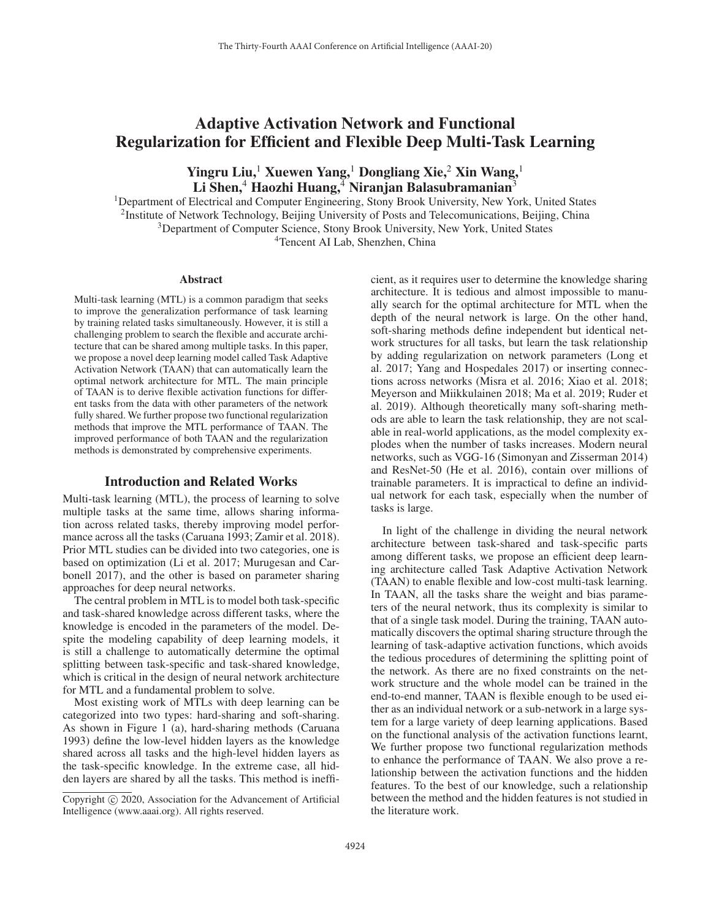# Adaptive Activation Network and Functional Regularization for Efficient and Flexible Deep Multi-Task Learning

# Yingru Liu,<sup>1</sup> Xuewen Yang,<sup>1</sup> Dongliang Xie,<sup>2</sup> Xin Wang,<sup>1</sup> Li Shen, $4$  Haozhi Huang, $4$  Niranjan Balasubramanian<sup>3</sup>

1Department of Electrical and Computer Engineering, Stony Brook University, New York, United States <sup>2</sup>Institute of Network Technology, Beijing University of Posts and Telecomunications, Beijing, China 3Department of Computer Science, Stony Brook University, New York, United States 4Tencent AI Lab, Shenzhen, China

#### **Abstract**

Multi-task learning (MTL) is a common paradigm that seeks to improve the generalization performance of task learning by training related tasks simultaneously. However, it is still a challenging problem to search the flexible and accurate architecture that can be shared among multiple tasks. In this paper, we propose a novel deep learning model called Task Adaptive Activation Network (TAAN) that can automatically learn the optimal network architecture for MTL. The main principle of TAAN is to derive flexible activation functions for different tasks from the data with other parameters of the network fully shared. We further propose two functional regularization methods that improve the MTL performance of TAAN. The improved performance of both TAAN and the regularization methods is demonstrated by comprehensive experiments.

## Introduction and Related Works

Multi-task learning (MTL), the process of learning to solve multiple tasks at the same time, allows sharing information across related tasks, thereby improving model performance across all the tasks (Caruana 1993; Zamir et al. 2018). Prior MTL studies can be divided into two categories, one is based on optimization (Li et al. 2017; Murugesan and Carbonell 2017), and the other is based on parameter sharing approaches for deep neural networks.

The central problem in MTL is to model both task-specific and task-shared knowledge across different tasks, where the knowledge is encoded in the parameters of the model. Despite the modeling capability of deep learning models, it is still a challenge to automatically determine the optimal splitting between task-specific and task-shared knowledge, which is critical in the design of neural network architecture for MTL and a fundamental problem to solve.

Most existing work of MTLs with deep learning can be categorized into two types: hard-sharing and soft-sharing. As shown in Figure 1 (a), hard-sharing methods (Caruana 1993) define the low-level hidden layers as the knowledge shared across all tasks and the high-level hidden layers as the task-specific knowledge. In the extreme case, all hidden layers are shared by all the tasks. This method is inefficient, as it requires user to determine the knowledge sharing architecture. It is tedious and almost impossible to manually search for the optimal architecture for MTL when the depth of the neural network is large. On the other hand, soft-sharing methods define independent but identical network structures for all tasks, but learn the task relationship by adding regularization on network parameters (Long et al. 2017; Yang and Hospedales 2017) or inserting connections across networks (Misra et al. 2016; Xiao et al. 2018; Meyerson and Miikkulainen 2018; Ma et al. 2019; Ruder et al. 2019). Although theoretically many soft-sharing methods are able to learn the task relationship, they are not scalable in real-world applications, as the model complexity explodes when the number of tasks increases. Modern neural networks, such as VGG-16 (Simonyan and Zisserman 2014) and ResNet-50 (He et al. 2016), contain over millions of trainable parameters. It is impractical to define an individual network for each task, especially when the number of tasks is large.

In light of the challenge in dividing the neural network architecture between task-shared and task-specific parts among different tasks, we propose an efficient deep learning architecture called Task Adaptive Activation Network (TAAN) to enable flexible and low-cost multi-task learning. In TAAN, all the tasks share the weight and bias parameters of the neural network, thus its complexity is similar to that of a single task model. During the training, TAAN automatically discovers the optimal sharing structure through the learning of task-adaptive activation functions, which avoids the tedious procedures of determining the splitting point of the network. As there are no fixed constraints on the network structure and the whole model can be trained in the end-to-end manner, TAAN is flexible enough to be used either as an individual network or a sub-network in a large system for a large variety of deep learning applications. Based on the functional analysis of the activation functions learnt, We further propose two functional regularization methods to enhance the performance of TAAN. We also prove a relationship between the activation functions and the hidden features. To the best of our knowledge, such a relationship between the method and the hidden features is not studied in the literature work.

Copyright  $\odot$  2020, Association for the Advancement of Artificial Intelligence (www.aaai.org). All rights reserved.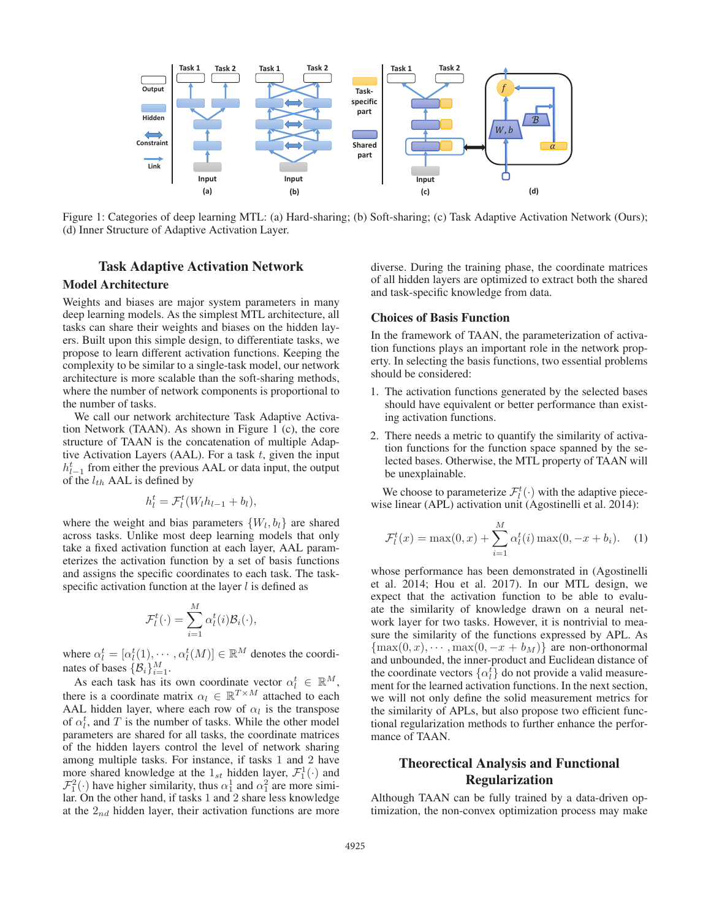

Figure 1: Categories of deep learning MTL: (a) Hard-sharing; (b) Soft-sharing; (c) Task Adaptive Activation Network (Ours); (d) Inner Structure of Adaptive Activation Layer.

## Task Adaptive Activation Network

## Model Architecture

Weights and biases are major system parameters in many deep learning models. As the simplest MTL architecture, all tasks can share their weights and biases on the hidden layers. Built upon this simple design, to differentiate tasks, we propose to learn different activation functions. Keeping the complexity to be similar to a single-task model, our network architecture is more scalable than the soft-sharing methods, where the number of network components is proportional to the number of tasks.

We call our network architecture Task Adaptive Activation Network (TAAN). As shown in Figure 1 (c), the core structure of TAAN is the concatenation of multiple Adaptive Activation Layers (AAL). For a task  $t$ , given the input  $h_{l-1}^t$  from either the previous AAL or data input, the output of the  $l_{th}$  AAL is defined by

$$
h_l^t = \mathcal{F}_l^t(W_l h_{l-1} + b_l),
$$

where the weight and bias parameters  $\{W_l, b_l\}$  are shared across tasks. Unlike most deep learning models that only take a fixed activation function at each layer, AAL parameterizes the activation function by a set of basis functions and assigns the specific coordinates to each task. The taskspecific activation function at the layer  $l$  is defined as

$$
\mathcal{F}_l^t(\cdot) = \sum_{i=1}^M \alpha_l^t(i) \mathcal{B}_i(\cdot),
$$

where  $\alpha_l^t = [\alpha_l^t(1), \cdots, \alpha_l^t(M)] \in \mathbb{R}^M$  denotes the coordinates of bases  $\{\mathcal{B}_i\}_{i=1}^M$ .

As each task has its own coordinate vector  $\alpha_l^t \in \mathbb{R}^M$ , there is a coordinate matrix  $\alpha_l \in \mathbb{R}^{T \times M}$  attached to each AAL hidden layer, where each row of  $\alpha_l$  is the transpose of  $\alpha_l^t$ , and T is the number of tasks. While the other model parameters are shared for all tasks, the coordinate matrices of the hidden layers control the level of network sharing among multiple tasks. For instance, if tasks 1 and 2 have more shared knowledge at the  $1_{st}$  hidden layer,  $\mathcal{F}_1^1(\cdot)$  and  $\mathcal{F}_1^2(\cdot)$  have higher similarity, thus  $\alpha_1^1$  and  $\alpha_1^2$  are more similar. On the other hand, if tasks 1 and 2 share less knowledge at the  $2_{nd}$  hidden layer, their activation functions are more diverse. During the training phase, the coordinate matrices of all hidden layers are optimized to extract both the shared and task-specific knowledge from data.

#### Choices of Basis Function

In the framework of TAAN, the parameterization of activation functions plays an important role in the network property. In selecting the basis functions, two essential problems should be considered:

- 1. The activation functions generated by the selected bases should have equivalent or better performance than existing activation functions.
- 2. There needs a metric to quantify the similarity of activation functions for the function space spanned by the selected bases. Otherwise, the MTL property of TAAN will be unexplainable.

We choose to parameterize  $\mathcal{F}_l^t(\cdot)$  with the adaptive piecewise linear (APL) activation unit (Agostinelli et al. 2014):

$$
\mathcal{F}_l^t(x) = \max(0, x) + \sum_{i=1}^M \alpha_l^t(i) \max(0, -x + b_i).
$$
 (1)

whose performance has been demonstrated in (Agostinelli et al. 2014; Hou et al. 2017). In our MTL design, we expect that the activation function to be able to evaluate the similarity of knowledge drawn on a neural network layer for two tasks. However, it is nontrivial to measure the similarity of the functions expressed by APL. As  $\{\max(0, x), \cdots, \max(0, -x + b_M)\}\$ are non-orthonormal and unbounded, the inner-product and Euclidean distance of the coordinate vectors  $\{\alpha_l^t\}$  do not provide a valid measurement for the learned activation functions. In the next section, we will not only define the solid measurement metrics for the similarity of APLs, but also propose two efficient functional regularization methods to further enhance the performance of TAAN.

## Theorectical Analysis and Functional Regularization

Although TAAN can be fully trained by a data-driven optimization, the non-convex optimization process may make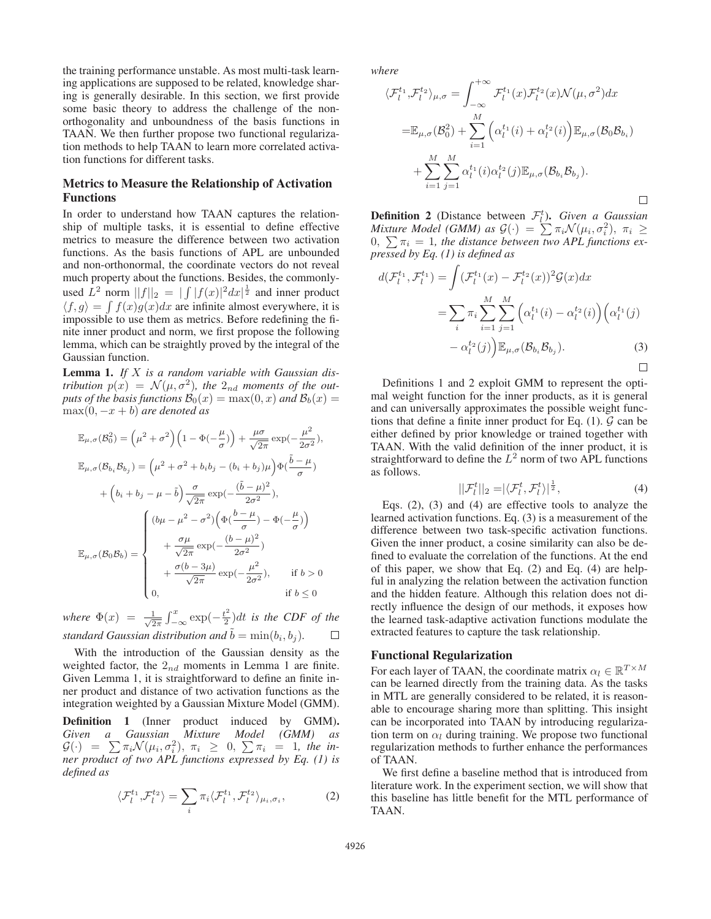the training performance unstable. As most multi-task learning applications are supposed to be related, knowledge sharing is generally desirable. In this section, we first provide some basic theory to address the challenge of the nonorthogonality and unboundness of the basis functions in TAAN. We then further propose two functional regularization methods to help TAAN to learn more correlated activation functions for different tasks.

## Metrics to Measure the Relationship of Activation Functions

In order to understand how TAAN captures the relationship of multiple tasks, it is essential to define effective metrics to measure the difference between two activation functions. As the basis functions of APL are unbounded and non-orthonormal, the coordinate vectors do not reveal much property about the functions. Besides, the commonlyused  $L^2$  norm  $||f||_2 = ||\int |f(x)|^2 dx|^{\frac{1}{2}}$  and inner product  $\langle f,g \rangle = \int f(x)g(x)dx$  are infinite almost everywhere, it is impossible to use them as metrics. Before redefining the finite inner product and norm, we first propose the following lemma, which can be straightly proved by the integral of the Gaussian function.

Lemma 1. *If* X *is a random variable with Gaussian distribution*  $p(x) = \mathcal{N}(\mu, \sigma^2)$ , the  $2_{nd}$  moments of the out*puts of the basis functions*  $\mathcal{B}_0(x) = \max(0, x)$  *and*  $\mathcal{B}_b(x) =$ max(0, −x + b) *are denoted as*

$$
\mathbb{E}_{\mu,\sigma}(\mathcal{B}_0^2) = \left(\mu^2 + \sigma^2\right) \left(1 - \Phi\left(-\frac{\mu}{\sigma}\right)\right) + \frac{\mu\sigma}{\sqrt{2\pi}} \exp\left(-\frac{\mu^2}{2\sigma^2}\right),
$$
\n
$$
\mathbb{E}_{\mu,\sigma}(\mathcal{B}_{b_i}\mathcal{B}_{b_j}) = \left(\mu^2 + \sigma^2 + b_i b_j - (b_i + b_j)\mu\right) \Phi\left(\frac{\tilde{b} - \mu}{\sigma}\right)
$$
\n
$$
+ \left(b_i + b_j - \mu - \tilde{b}\right) \frac{\sigma}{\sqrt{2\pi}} \exp\left(-\frac{(\tilde{b} - \mu)^2}{2\sigma^2}\right),
$$
\n
$$
\mathbb{E}_{\mu,\sigma}(\mathcal{B}_0\mathcal{B}_b) = \begin{cases}\n(b\mu - \mu^2 - \sigma^2) \left(\Phi\left(\frac{b - \mu}{\sigma}\right) - \Phi\left(-\frac{\mu}{\sigma}\right)\right) \\
&+ \frac{\sigma\mu}{\sqrt{2\pi}} \exp\left(-\frac{(b - \mu)^2}{2\sigma^2}\right) \\
&+ \frac{\sigma(b - 3\mu)}{\sqrt{2\pi}} \exp\left(-\frac{\mu^2}{2\sigma^2}\right), \quad \text{if } b > 0 \\
&0, \quad \text{if } b \le 0\n\end{cases}
$$

where  $\Phi(x) = \frac{1}{\sqrt{2\pi}} \int_{-\infty}^{x} \exp(-\frac{t^2}{2}) dt$  *is the CDF of the standard Gaussian distribution and*  $\tilde{b} = \min(b_i, b_j)$ *.*  $\Box$ 

With the introduction of the Gaussian density as the weighted factor, the  $2_{nd}$  moments in Lemma 1 are finite. Given Lemma 1, it is straightforward to define an finite inner product and distance of two activation functions as the integration weighted by a Gaussian Mixture Model (GMM).

Definition 1 (Inner product induced by GMM). *Given a Gaussian Mixture Model (GMM) as*  $\mathcal{G}(\cdot) = \sum \pi_i \mathcal{N}(\mu_i, \sigma_i^2), \pi_i \geq 0, \sum \pi_i = 1$ , the in*ner product of two APL functions expressed by Eq. (1) is defined as*

$$
\langle \mathcal{F}_l^{t_1}, \mathcal{F}_l^{t_2} \rangle = \sum_i \pi_i \langle \mathcal{F}_l^{t_1}, \mathcal{F}_l^{t_2} \rangle_{\mu_i, \sigma_i},\tag{2}
$$

*where*

$$
\langle \mathcal{F}_l^{t_1}, \mathcal{F}_l^{t_2} \rangle_{\mu, \sigma} = \int_{-\infty}^{+\infty} \mathcal{F}_l^{t_1}(x) \mathcal{F}_l^{t_2}(x) \mathcal{N}(\mu, \sigma^2) dx
$$
  

$$
= \mathbb{E}_{\mu, \sigma}(\mathcal{B}_0^2) + \sum_{i=1}^M \left( \alpha_l^{t_1}(i) + \alpha_l^{t_2}(i) \right) \mathbb{E}_{\mu, \sigma}(\mathcal{B}_0 \mathcal{B}_{b_i})
$$
  

$$
+ \sum_{i=1}^M \sum_{j=1}^M \alpha_l^{t_1}(i) \alpha_l^{t_2}(j) \mathbb{E}_{\mu, \sigma}(\mathcal{B}_{b_i} \mathcal{B}_{b_j}).
$$

**Definition 2** (Distance between  $\mathcal{F}_l^t$ ). *Given a Gaussian Mixture Model (GMM) as*  $\mathcal{G}(\cdot) = \sum \pi_i \mathcal{N}(\mu_i, \sigma_i^2), \pi_i \geq$  $0, \sum \pi_i = 1$ , the distance between two APL functions ex*pressed by Eq. (1) is defined as*

$$
d(\mathcal{F}_l^{t_1}, \mathcal{F}_l^{t_1}) = \int (\mathcal{F}_l^{t_1}(x) - \mathcal{F}_l^{t_2}(x))^2 \mathcal{G}(x) dx
$$
  

$$
= \sum_i \pi_i \sum_{i=1}^M \sum_{j=1}^M \left( \alpha_l^{t_1}(i) - \alpha_l^{t_2}(i) \right) \left( \alpha_l^{t_1}(j) - \alpha_l^{t_2}(j) \right)
$$
  

$$
- \alpha_l^{t_2}(j) \Big) \mathbb{E}_{\mu, \sigma} (\mathcal{B}_{b_i} \mathcal{B}_{b_j}). \tag{3}
$$

Definitions 1 and 2 exploit GMM to represent the optimal weight function for the inner products, as it is general and can universally approximates the possible weight functions that define a finite inner product for Eq.  $(1)$ .  $\mathcal G$  can be either defined by prior knowledge or trained together with TAAN. With the valid definition of the inner product, it is straightforward to define the  $L^2$  norm of two APL functions as follows.

$$
||\mathcal{F}_l^t||_2 = |\langle \mathcal{F}_l^t, \mathcal{F}_l^t \rangle|^{\frac{1}{2}},\tag{4}
$$

Eqs. (2), (3) and (4) are effective tools to analyze the learned activation functions. Eq. (3) is a measurement of the difference between two task-specific activation functions. Given the inner product, a cosine similarity can also be defined to evaluate the correlation of the functions. At the end of this paper, we show that Eq. (2) and Eq. (4) are helpful in analyzing the relation between the activation function and the hidden feature. Although this relation does not directly influence the design of our methods, it exposes how the learned task-adaptive activation functions modulate the extracted features to capture the task relationship.

### Functional Regularization

For each layer of TAAN, the coordinate matrix  $\alpha_l \in \mathbb{R}^{T \times M}$ can be learned directly from the training data. As the tasks in MTL are generally considered to be related, it is reasonable to encourage sharing more than splitting. This insight can be incorporated into TAAN by introducing regularization term on  $\alpha_l$  during training. We propose two functional regularization methods to further enhance the performances of TAAN.

We first define a baseline method that is introduced from literature work. In the experiment section, we will show that this baseline has little benefit for the MTL performance of TAAN.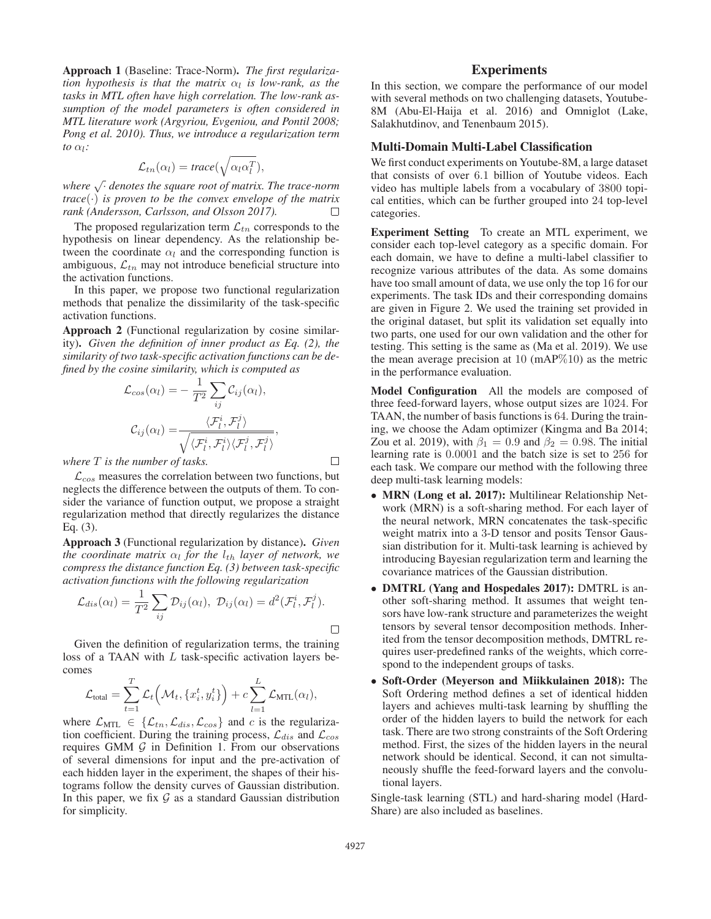Approach 1 (Baseline: Trace-Norm). *The first regularization hypothesis is that the matrix*  $\alpha_l$  *is low-rank, as the tasks in MTL often have high correlation. The low-rank assumption of the model parameters is often considered in MTL literature work (Argyriou, Evgeniou, and Pontil 2008; Pong et al. 2010). Thus, we introduce a regularization term to* αl*:*

$$
\mathcal{L}_{tn}(\alpha_l) = \text{trace}(\sqrt{\alpha_l \alpha_l^T}),
$$

*where* √· *denotes the square root of matrix. The trace-norm trace*( $\cdot$ ) *is proven to be the convex envelope of the matrix rank (Andersson, Carlsson, and Olsson 2017).*  $\Box$ 

The proposed regularization term  $\mathcal{L}_{tn}$  corresponds to the hypothesis on linear dependency. As the relationship between the coordinate  $\alpha_l$  and the corresponding function is ambiguous,  $\mathcal{L}_{tn}$  may not introduce beneficial structure into the activation functions.

In this paper, we propose two functional regularization methods that penalize the dissimilarity of the task-specific activation functions.

Approach 2 (Functional regularization by cosine similarity). *Given the definition of inner product as Eq. (2), the similarity of two task-specific activation functions can be defined by the cosine similarity, which is computed as*

$$
\mathcal{L}_{cos}(\alpha_l) = -\frac{1}{T^2} \sum_{ij} \mathcal{C}_{ij}(\alpha_l),
$$

$$
\mathcal{C}_{ij}(\alpha_l) = \frac{\langle \mathcal{F}_l^i, \mathcal{F}_l^j \rangle}{\sqrt{\langle \mathcal{F}_l^i, \mathcal{F}_l^i \rangle \langle \mathcal{F}_l^j, \mathcal{F}_l^j \rangle}},
$$

*where* T *is the number of tasks.*

 $\mathcal{L}_{cos}$  measures the correlation between two functions, but neglects the difference between the outputs of them. To consider the variance of function output, we propose a straight regularization method that directly regularizes the distance Eq. (3).

Approach 3 (Functional regularization by distance). *Given the coordinate matrix*  $\alpha_l$  *for the*  $l_{th}$  *layer of network, we compress the distance function Eq. (3) between task-specific activation functions with the following regularization*

$$
\mathcal{L}_{dis}(\alpha_l) = \frac{1}{T^2} \sum_{ij} \mathcal{D}_{ij}(\alpha_l), \ \mathcal{D}_{ij}(\alpha_l) = d^2(\mathcal{F}_l^i, \mathcal{F}_l^j).
$$

Given the definition of regularization terms, the training loss of a TAAN with L task-specific activation layers becomes

$$
\mathcal{L}_{\text{total}} = \sum_{t=1}^{T} \mathcal{L}_t \left( \mathcal{M}_t, \{x_i^t, y_i^t\} \right) + c \sum_{l=1}^{L} \mathcal{L}_{\text{MTL}}(\alpha_l),
$$

where  $\mathcal{L}_{\text{MTL}} \in \{\mathcal{L}_{tn}, \mathcal{L}_{dis}, \mathcal{L}_{cos}\}\$  and c is the regularization coefficient. During the training process,  $\mathcal{L}_{dis}$  and  $\mathcal{L}_{cos}$ requires GMM  $G$  in Definition 1. From our observations of several dimensions for input and the pre-activation of each hidden layer in the experiment, the shapes of their histograms follow the density curves of Gaussian distribution. In this paper, we fix  $G$  as a standard Gaussian distribution for simplicity.

## **Experiments**

In this section, we compare the performance of our model with several methods on two challenging datasets, Youtube-8M (Abu-El-Haija et al. 2016) and Omniglot (Lake, Salakhutdinov, and Tenenbaum 2015).

#### Multi-Domain Multi-Label Classification

We first conduct experiments on Youtube-8M, a large dataset that consists of over 6.1 billion of Youtube videos. Each video has multiple labels from a vocabulary of 3800 topical entities, which can be further grouped into 24 top-level categories.

Experiment Setting To create an MTL experiment, we consider each top-level category as a specific domain. For each domain, we have to define a multi-label classifier to recognize various attributes of the data. As some domains have too small amount of data, we use only the top 16 for our experiments. The task IDs and their corresponding domains are given in Figure 2. We used the training set provided in the original dataset, but split its validation set equally into two parts, one used for our own validation and the other for testing. This setting is the same as (Ma et al. 2019). We use the mean average precision at 10  $(mAP\%10)$  as the metric in the performance evaluation.

Model Configuration All the models are composed of three feed-forward layers, whose output sizes are 1024. For TAAN, the number of basis functions is 64. During the training, we choose the Adam optimizer (Kingma and Ba 2014; Zou et al. 2019), with  $\beta_1 = 0.9$  and  $\beta_2 = 0.98$ . The initial learning rate is 0.0001 and the batch size is set to 256 for each task. We compare our method with the following three deep multi-task learning models:

- MRN (Long et al. 2017): Multilinear Relationship Network (MRN) is a soft-sharing method. For each layer of the neural network, MRN concatenates the task-specific weight matrix into a 3-D tensor and posits Tensor Gaussian distribution for it. Multi-task learning is achieved by introducing Bayesian regularization term and learning the covariance matrices of the Gaussian distribution.
- DMTRL (Yang and Hospedales 2017): DMTRL is another soft-sharing method. It assumes that weight tensors have low-rank structure and parameterizes the weight tensors by several tensor decomposition methods. Inherited from the tensor decomposition methods, DMTRL requires user-predefined ranks of the weights, which correspond to the independent groups of tasks.
- Soft-Order (Meyerson and Miikkulainen 2018): The Soft Ordering method defines a set of identical hidden layers and achieves multi-task learning by shuffling the order of the hidden layers to build the network for each task. There are two strong constraints of the Soft Ordering method. First, the sizes of the hidden layers in the neural network should be identical. Second, it can not simultaneously shuffle the feed-forward layers and the convolutional layers.

Single-task learning (STL) and hard-sharing model (Hard-Share) are also included as baselines.

 $\Box$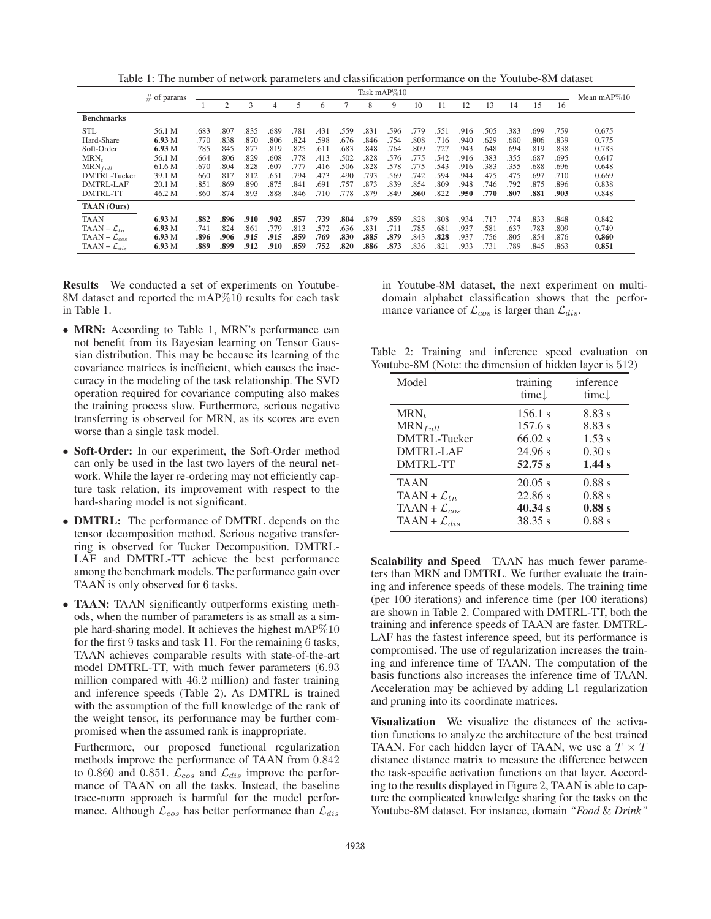Table 1: The number of network parameters and classification performance on the Youtube-8M dataset

|                            | $#$ of params | Task mAP%10 |                |      |      |                |      |      |      |      |      |      |      | Mean mAP $\%10$ |      |      |      |       |
|----------------------------|---------------|-------------|----------------|------|------|----------------|------|------|------|------|------|------|------|-----------------|------|------|------|-------|
|                            |               |             | $\mathfrak{D}$ | 3    | 4    | $\overline{5}$ | 6    |      | 8    | 9    | 10   | 11   | 12   | 13              | 14   | 15   | 16   |       |
| <b>Benchmarks</b>          |               |             |                |      |      |                |      |      |      |      |      |      |      |                 |      |      |      |       |
| <b>STL</b>                 | 56.1 M        | .683        | .807           | .835 | .689 | .781           | .431 | .559 | .831 | .596 | .779 | .551 | .916 | .505            | 383  | .699 | .759 | 0.675 |
| Hard-Share                 | 6.93M         | .770        | .838           | .870 | .806 | .824           | .598 | .676 | .846 | .754 | .808 | .716 | .940 | .629            | .680 | .806 | .839 | 0.775 |
| Soft-Order                 | 6.93M         | .785        | .845           | .877 | .819 | .825           | .611 | .683 | .848 | 764  | .809 | .727 | .943 | .648            | .694 | .819 | .838 | 0.783 |
| $MRN_t$                    | 56.1 M        | .664        | .806           | .829 | .608 | .778           | .413 | .502 | .828 | 576  | .775 | .542 | .916 | .383            | .355 | .687 | .695 | 0.647 |
| $MRN_{full}$               | 61.6 M        | .670        | .804           | .828 | .607 | .777           | .416 | .506 | .828 | .578 | .775 | .543 | .916 | 383             | .355 | .688 | .696 | 0.648 |
| DMTRL-Tucker               | 39.1 M        | .660        | .817           | .812 | .651 | 794            | .473 | .490 | 793  | 569  | .742 | .594 | .944 | .475            | .475 | .697 | .710 | 0.669 |
| <b>DMTRL-LAF</b>           | 20.1 M        | .851        | .869           | .890 | .875 | .841           | .691 | .757 | .873 | .839 | .854 | .809 | .948 | .746            | .792 | .875 | .896 | 0.838 |
| <b>DMTRL-TT</b>            | 46.2 M        | .860        | .874           | .893 | .888 | .846           | .710 | .778 | .879 | 849  | .860 | .822 | .950 | .770            | .807 | .881 | .903 | 0.848 |
| <b>TAAN</b> (Ours)         |               |             |                |      |      |                |      |      |      |      |      |      |      |                 |      |      |      |       |
| <b>TAAN</b>                | 6.93M         | .882        | .896           | .910 | .902 | .857           | .739 | .804 | .879 | .859 | .828 | .808 | .934 | .717            | .774 | .833 | .848 | 0.842 |
| TAAN + $\mathcal{L}_{tn}$  | 6.93 M        | .741        | .824           | .861 | .779 | .813           | .572 | .636 | .831 | .711 | .785 | .681 | .937 | .581            | .637 | .783 | .809 | 0.749 |
| TAAN + $\mathcal{L}_{cos}$ | 6.93M         | .896        | .906           | .915 | .915 | .859           | .769 | .830 | .885 | .879 | .843 | .828 | .937 | .756            | .805 | .854 | .876 | 0.860 |
| TAAN + $\mathcal{L}_{dis}$ | 6.93M         | .889        | .899           | .912 | .910 | .859           | .752 | .820 | .886 | .873 | .836 | .821 | .933 | .731            | .789 | .845 | .863 | 0.851 |

Results We conducted a set of experiments on Youtube-8M dataset and reported the mAP%10 results for each task in Table 1.

- MRN: According to Table 1, MRN's performance can not benefit from its Bayesian learning on Tensor Gaussian distribution. This may be because its learning of the covariance matrices is inefficient, which causes the inaccuracy in the modeling of the task relationship. The SVD operation required for covariance computing also makes the training process slow. Furthermore, serious negative transferring is observed for MRN, as its scores are even worse than a single task model.
- Soft-Order: In our experiment, the Soft-Order method can only be used in the last two layers of the neural network. While the layer re-ordering may not efficiently capture task relation, its improvement with respect to the hard-sharing model is not significant.
- **DMTRL:** The performance of DMTRL depends on the tensor decomposition method. Serious negative transferring is observed for Tucker Decomposition. DMTRL-LAF and DMTRL-TT achieve the best performance among the benchmark models. The performance gain over TAAN is only observed for 6 tasks.
- TAAN: TAAN significantly outperforms existing methods, when the number of parameters is as small as a simple hard-sharing model. It achieves the highest mAP%10 for the first 9 tasks and task 11. For the remaining 6 tasks, TAAN achieves comparable results with state-of-the-art model DMTRL-TT, with much fewer parameters (6.93 million compared with 46.2 million) and faster training and inference speeds (Table 2). As DMTRL is trained with the assumption of the full knowledge of the rank of the weight tensor, its performance may be further compromised when the assumed rank is inappropriate.

Furthermore, our proposed functional regularization methods improve the performance of TAAN from 0.842 to 0.860 and 0.851.  $\bar{\mathcal{L}}_{cos}$  and  $\mathcal{L}_{dis}$  improve the performance of TAAN on all the tasks. Instead, the baseline trace-norm approach is harmful for the model performance. Although  $\mathcal{L}_{cos}$  has better performance than  $\mathcal{L}_{dis}$ 

in Youtube-8M dataset, the next experiment on multidomain alphabet classification shows that the performance variance of  $\mathcal{L}_{cos}$  is larger than  $\mathcal{L}_{dis}$ .

Table 2: Training and inference speed evaluation on Youtube-8M (Note: the dimension of hidden layer is 512)

| Model                      | training<br>time. | inference<br>time |
|----------------------------|-------------------|-------------------|
| $MRN_t$                    | 156.1 s           | 8.83 s            |
| $MRN_{full}$               | 157.6 s           | 8.83 s            |
| DMTRL-Tucker               | $66.02$ s         | 1.53 s            |
| <b>DMTRL-LAF</b>           | 24.96 s           | 0.30 s            |
| <b>DMTRL-TT</b>            | 52.75 s           | 1.44 s            |
| <b>TAAN</b>                | $20.05$ s         | 0.88 s            |
| $TAAN + \mathcal{L}_{tn}$  | 22.86 s           | 0.88 s            |
| TAAN + $\mathcal{L}_{cos}$ | 40.34 s           | 0.88 s            |
| TAAN + $\mathcal{L}_{dis}$ | 38.35 s           | 0.88 s            |

Scalability and Speed TAAN has much fewer parameters than MRN and DMTRL. We further evaluate the training and inference speeds of these models. The training time (per 100 iterations) and inference time (per 100 iterations) are shown in Table 2. Compared with DMTRL-TT, both the training and inference speeds of TAAN are faster. DMTRL-LAF has the fastest inference speed, but its performance is compromised. The use of regularization increases the training and inference time of TAAN. The computation of the basis functions also increases the inference time of TAAN. Acceleration may be achieved by adding L1 regularization and pruning into its coordinate matrices.

Visualization We visualize the distances of the activation functions to analyze the architecture of the best trained TAAN. For each hidden layer of TAAN, we use a  $T \times T$ distance distance matrix to measure the difference between the task-specific activation functions on that layer. According to the results displayed in Figure 2, TAAN is able to capture the complicated knowledge sharing for the tasks on the Youtube-8M dataset. For instance, domain *"Food* & *Drink"*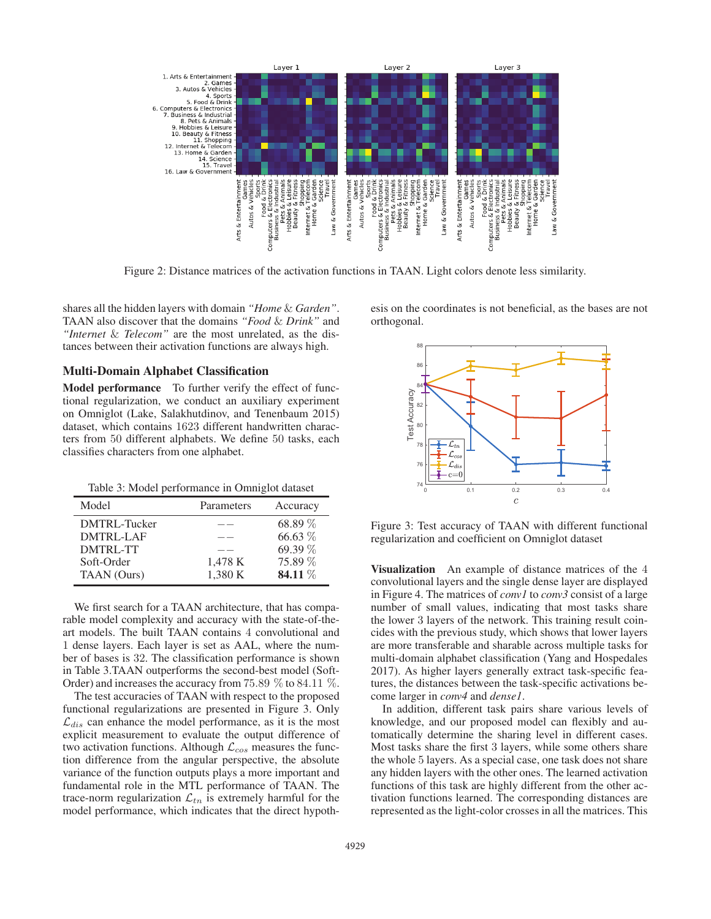

Figure 2: Distance matrices of the activation functions in TAAN. Light colors denote less similarity.

shares all the hidden layers with domain *"Home* & *Garden"*. TAAN also discover that the domains *"Food* & *Drink"* and *"Internet* & *Telecom"* are the most unrelated, as the distances between their activation functions are always high.

#### Multi-Domain Alphabet Classification

Model performance To further verify the effect of functional regularization, we conduct an auxiliary experiment on Omniglot (Lake, Salakhutdinov, and Tenenbaum 2015) dataset, which contains 1623 different handwritten characters from 50 different alphabets. We define 50 tasks, each classifies characters from one alphabet.

Table 3: Model performance in Omniglot dataset

| Model        | Parameters | Accuracy |
|--------------|------------|----------|
| DMTRL-Tucker |            | 68.89 %  |
| DMTRL-LAF    |            | 66.63 %  |
| DMTRL-TT     |            | 69.39 %  |
| Soft-Order   | 1,478 K    | 75.89 %  |
| TAAN (Ours)  | 1,380 K    | 84.11 %  |

We first search for a TAAN architecture, that has comparable model complexity and accuracy with the state-of-theart models. The built TAAN contains 4 convolutional and 1 dense layers. Each layer is set as AAL, where the number of bases is 32. The classification performance is shown in Table 3.TAAN outperforms the second-best model (Soft-Order) and increases the accuracy from 75.89 % to 84.11 %.

The test accuracies of TAAN with respect to the proposed functional regularizations are presented in Figure 3. Only  $\mathcal{L}_{dis}$  can enhance the model performance, as it is the most explicit measurement to evaluate the output difference of two activation functions. Although  $\mathcal{L}_{cos}$  measures the function difference from the angular perspective, the absolute variance of the function outputs plays a more important and fundamental role in the MTL performance of TAAN. The trace-norm regularization  $\mathcal{L}_{tn}$  is extremely harmful for the model performance, which indicates that the direct hypoth-

esis on the coordinates is not beneficial, as the bases are not orthogonal.



Figure 3: Test accuracy of TAAN with different functional regularization and coefficient on Omniglot dataset

Visualization An example of distance matrices of the 4 convolutional layers and the single dense layer are displayed in Figure 4. The matrices of *conv1* to *conv3* consist of a large number of small values, indicating that most tasks share the lower 3 layers of the network. This training result coincides with the previous study, which shows that lower layers are more transferable and sharable across multiple tasks for multi-domain alphabet classification (Yang and Hospedales 2017). As higher layers generally extract task-specific features, the distances between the task-specific activations become larger in *conv4* and *dense1*.

In addition, different task pairs share various levels of knowledge, and our proposed model can flexibly and automatically determine the sharing level in different cases. Most tasks share the first 3 layers, while some others share the whole 5 layers. As a special case, one task does not share any hidden layers with the other ones. The learned activation functions of this task are highly different from the other activation functions learned. The corresponding distances are represented as the light-color crosses in all the matrices. This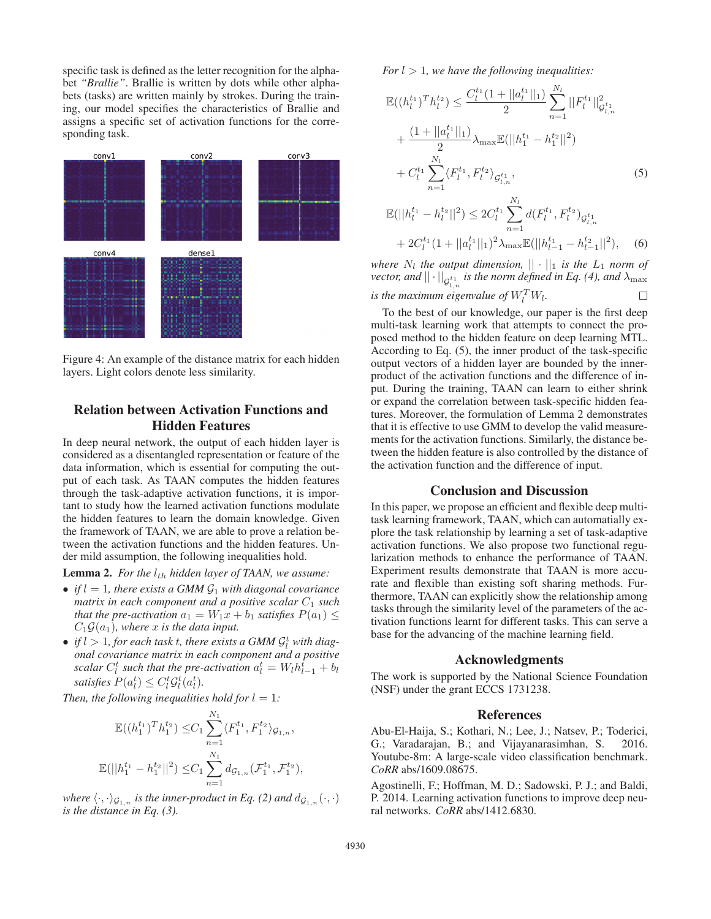specific task is defined as the letter recognition for the alphabet *"Brallie"*. Brallie is written by dots while other alphabets (tasks) are written mainly by strokes. During the training, our model specifies the characteristics of Brallie and assigns a specific set of activation functions for the corresponding task.



Figure 4: An example of the distance matrix for each hidden layers. Light colors denote less similarity.

## Relation between Activation Functions and Hidden Features

In deep neural network, the output of each hidden layer is considered as a disentangled representation or feature of the data information, which is essential for computing the output of each task. As TAAN computes the hidden features through the task-adaptive activation functions, it is important to study how the learned activation functions modulate the hidden features to learn the domain knowledge. Given the framework of TAAN, we are able to prove a relation between the activation functions and the hidden features. Under mild assumption, the following inequalities hold.

**Lemma 2.** *For the*  $l_{th}$  *hidden layer of TAAN, we assume:* 

- *if*  $l = 1$ *, there exists a GMM*  $\mathcal{G}_1$  *with diagonal covariance matrix in each component and a positive scalar*  $C_1$  *such that the pre-activation*  $a_1 = W_1x + b_1$  *satisfies*  $P(a_1) \leq$  $C_1\mathcal{G}(a_1)$ *, where* x *is the data input.*
- *if*  $l > 1$ , for each task t, there exists a GMM  $\mathcal{G}_l^t$  with diag*onal covariance matrix in each component and a positive scalar*  $C_l^t$  *such that the pre-activation*  $a_l^t = W_l h_{l-1}^t + b_l$ *satisfies*  $P(a_l^t) \leq C_l^t \mathcal{G}_l^t(a_l^t)$ .

*Then, the following inequalities hold for*  $l = 1$ *:* 

$$
\mathbb{E}((h_1^{t_1})^T h_1^{t_2}) \leq C_1 \sum_{n=1}^{N_1} \langle F_1^{t_1}, F_1^{t_2} \rangle_{\mathcal{G}_{1,n}},
$$
  

$$
\mathbb{E}(||h_1^{t_1} - h_1^{t_2}||^2) \leq C_1 \sum_{n=1}^{N_1} d_{\mathcal{G}_{1,n}}(\mathcal{F}_1^{t_1}, \mathcal{F}_1^{t_2}),
$$

*where*  $\langle \cdot, \cdot \rangle_{\mathcal{G}_{1,n}}$  *is the inner-product in Eq.* (2) and  $d_{\mathcal{G}_{1,n}}(\cdot, \cdot)$ *is the distance in Eq. (3).*

*For*  $l > 1$ *, we have the following inequalities:* 

$$
\mathbb{E}((h_l^{t_1})^T h_l^{t_2}) \leq \frac{C_l^{t_1} (1 + ||a_l^{t_1}||_1)}{2} \sum_{n=1}^{N_l} ||F_l^{t_1}||_{\mathcal{G}_{l,n}^{t_1}}^2
$$
  
+ 
$$
\frac{(1 + ||a_l^{t_1}||_1)}{2} \lambda_{\max} \mathbb{E}(||h_1^{t_1} - h_1^{t_2}||^2)
$$
  
+ 
$$
C_l^{t_1} \sum_{n=1}^{N_l} \langle F_l^{t_1}, F_l^{t_2} \rangle_{\mathcal{G}_{l,n}^{t_1}},
$$
  

$$
\mathbb{E}(||h_l^{t_1} - h_l^{t_2}||^2) \leq 2C_l^{t_1} \sum_{n=1}^{N_l} d(F_l^{t_1}, F_l^{t_2})_{\mathcal{G}_{l,n}^{t_1}}
$$
  
+ 
$$
2C_l^{t_1} (1 + ||a_l^{t_1}||_1)^2 \lambda_{\max} \mathbb{E}(||h_{l-1}^{t_1} - h_{l-1}^{t_2}||^2),
$$
 (6)

*where*  $N_l$  *the output dimension,*  $|| \cdot ||_1$  *is the*  $L_1$  *norm of*  $\mathit{vector}, \mathit{and} \ \left\| \cdot \right\|_{\mathcal{G}_{l,n}^{t_1}}$  is the norm defined in Eq. (4), and  $\lambda_{\max}$ *is the maximum eigenvalue of*  $W_l^TW_l$ .  $\Box$ 

To the best of our knowledge, our paper is the first deep multi-task learning work that attempts to connect the proposed method to the hidden feature on deep learning MTL. According to Eq. (5), the inner product of the task-specific output vectors of a hidden layer are bounded by the innerproduct of the activation functions and the difference of input. During the training, TAAN can learn to either shrink or expand the correlation between task-specific hidden features. Moreover, the formulation of Lemma 2 demonstrates that it is effective to use GMM to develop the valid measurements for the activation functions. Similarly, the distance between the hidden feature is also controlled by the distance of the activation function and the difference of input.

### Conclusion and Discussion

In this paper, we propose an efficient and flexible deep multitask learning framework, TAAN, which can automatially explore the task relationship by learning a set of task-adaptive activation functions. We also propose two functional regularization methods to enhance the performance of TAAN. Experiment results demonstrate that TAAN is more accurate and flexible than existing soft sharing methods. Furthermore, TAAN can explicitly show the relationship among tasks through the similarity level of the parameters of the activation functions learnt for different tasks. This can serve a base for the advancing of the machine learning field.

#### Acknowledgments

The work is supported by the National Science Foundation (NSF) under the grant ECCS 1731238.

#### References

Abu-El-Haija, S.; Kothari, N.; Lee, J.; Natsev, P.; Toderici, G.; Varadarajan, B.; and Vijayanarasimhan, S. 2016. Youtube-8m: A large-scale video classification benchmark. *CoRR* abs/1609.08675.

Agostinelli, F.; Hoffman, M. D.; Sadowski, P. J.; and Baldi, P. 2014. Learning activation functions to improve deep neural networks. *CoRR* abs/1412.6830.